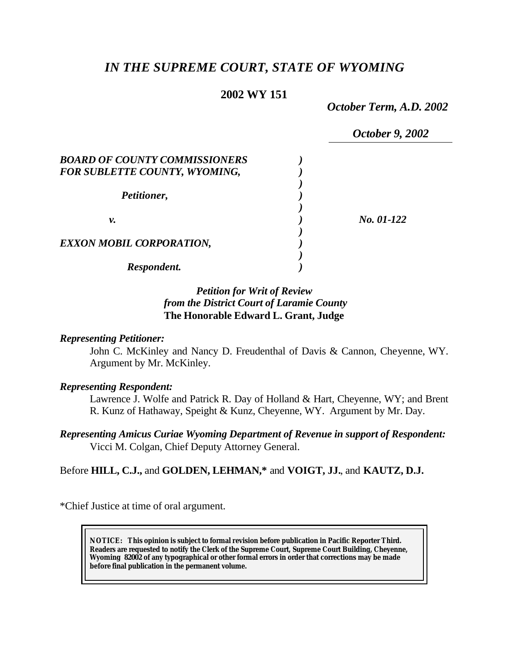# *IN THE SUPREME COURT, STATE OF WYOMING*

# **2002 WY 151**

*October Term, A.D. 2002*

|                                      | October 9, 2002 |
|--------------------------------------|-----------------|
| <b>BOARD OF COUNTY COMMISSIONERS</b> |                 |
| <b>FOR SUBLETTE COUNTY, WYOMING,</b> |                 |
| Petitioner,                          |                 |
| ν.                                   | No. 01-122      |
| <b>EXXON MOBIL CORPORATION,</b>      |                 |
| Respondent.                          |                 |

## *Petition for Writ of Review from the District Court of Laramie County* **The Honorable Edward L. Grant, Judge**

#### *Representing Petitioner:*

John C. McKinley and Nancy D. Freudenthal of Davis & Cannon, Cheyenne, WY. Argument by Mr. McKinley.

#### *Representing Respondent:*

Lawrence J. Wolfe and Patrick R. Day of Holland & Hart, Cheyenne, WY; and Brent R. Kunz of Hathaway, Speight & Kunz, Cheyenne, WY. Argument by Mr. Day.

*Representing Amicus Curiae Wyoming Department of Revenue in support of Respondent:* Vicci M. Colgan, Chief Deputy Attorney General.

Before **HILL, C.J.,** and **GOLDEN, LEHMAN,\*** and **VOIGT, JJ.**, and **KAUTZ, D.J.**

\*Chief Justice at time of oral argument.

**NOTICE:** *This opinion is subject to formal revision before publication in Pacific Reporter Third. Readers are requested to notify the Clerk of the Supreme Court, Supreme Court Building, Cheyenne, Wyoming 82002 of any typographical or other formal errors in order that corrections may be made before final publication in the permanent volume.*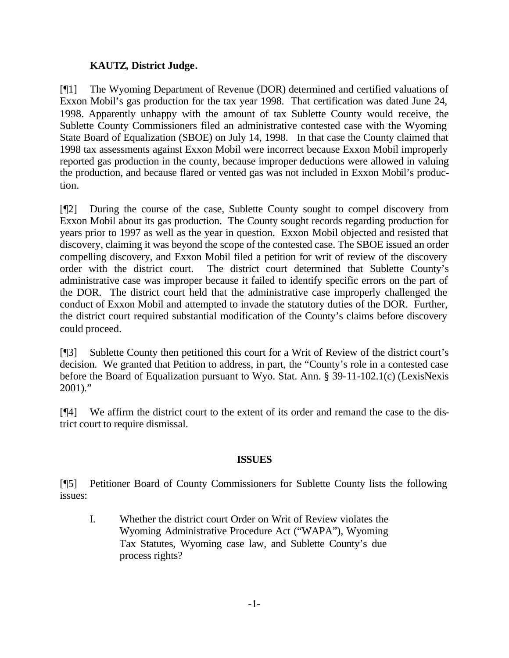# **KAUTZ, District Judge.**

[¶1] The Wyoming Department of Revenue (DOR) determined and certified valuations of Exxon Mobil's gas production for the tax year 1998. That certification was dated June 24, 1998. Apparently unhappy with the amount of tax Sublette County would receive, the Sublette County Commissioners filed an administrative contested case with the Wyoming State Board of Equalization (SBOE) on July 14, 1998. In that case the County claimed that 1998 tax assessments against Exxon Mobil were incorrect because Exxon Mobil improperly reported gas production in the county, because improper deductions were allowed in valuing the production, and because flared or vented gas was not included in Exxon Mobil's production.

[¶2] During the course of the case, Sublette County sought to compel discovery from Exxon Mobil about its gas production. The County sought records regarding production for years prior to 1997 as well as the year in question. Exxon Mobil objected and resisted that discovery, claiming it was beyond the scope of the contested case. The SBOE issued an order compelling discovery, and Exxon Mobil filed a petition for writ of review of the discovery order with the district court. The district court determined that Sublette County's administrative case was improper because it failed to identify specific errors on the part of the DOR. The district court held that the administrative case improperly challenged the conduct of Exxon Mobil and attempted to invade the statutory duties of the DOR. Further, the district court required substantial modification of the County's claims before discovery could proceed.

[¶3] Sublette County then petitioned this court for a Writ of Review of the district court's decision. We granted that Petition to address, in part, the "County's role in a contested case before the Board of Equalization pursuant to Wyo. Stat. Ann. § 39-11-102.1(c) (LexisNexis 2001)."

[¶4] We affirm the district court to the extent of its order and remand the case to the district court to require dismissal.

### **ISSUES**

[¶5] Petitioner Board of County Commissioners for Sublette County lists the following issues:

I. Whether the district court Order on Writ of Review violates the Wyoming Administrative Procedure Act ("WAPA"), Wyoming Tax Statutes, Wyoming case law, and Sublette County's due process rights?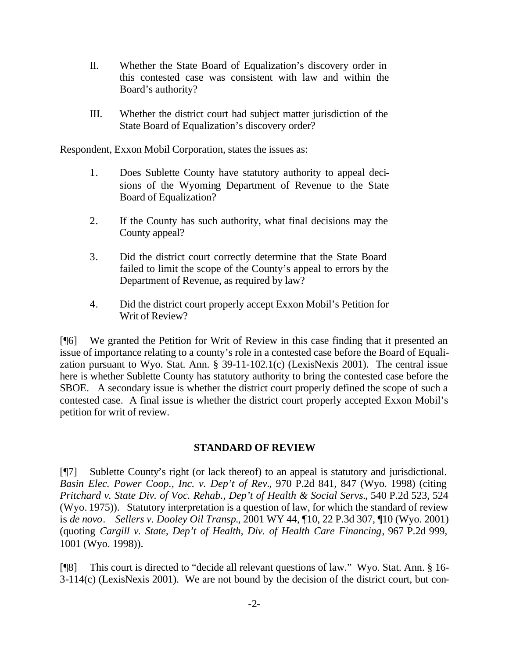- II. Whether the State Board of Equalization's discovery order in this contested case was consistent with law and within the Board's authority?
- III. Whether the district court had subject matter jurisdiction of the State Board of Equalization's discovery order?

Respondent, Exxon Mobil Corporation, states the issues as:

- 1. Does Sublette County have statutory authority to appeal decisions of the Wyoming Department of Revenue to the State Board of Equalization?
- 2. If the County has such authority, what final decisions may the County appeal?
- 3. Did the district court correctly determine that the State Board failed to limit the scope of the County's appeal to errors by the Department of Revenue, as required by law?
- 4. Did the district court properly accept Exxon Mobil's Petition for Writ of Review?

[¶6] We granted the Petition for Writ of Review in this case finding that it presented an issue of importance relating to a county's role in a contested case before the Board of Equalization pursuant to Wyo. Stat. Ann. § 39-11-102.1(c) (LexisNexis 2001). The central issue here is whether Sublette County has statutory authority to bring the contested case before the SBOE. A secondary issue is whether the district court properly defined the scope of such a contested case. A final issue is whether the district court properly accepted Exxon Mobil's petition for writ of review.

### **STANDARD OF REVIEW**

[¶7] Sublette County's right (or lack thereof) to an appeal is statutory and jurisdictional. *Basin Elec. Power Coop., Inc. v. Dep't of Rev.*, 970 P.2d 841, 847 (Wyo. 1998) (citing *Pritchard v. State Div. of Voc. Rehab., Dep't of Health & Social Servs.*, 540 P.2d 523, 524 (Wyo. 1975)). Statutory interpretation is a question of law, for which the standard of review is *de novo*. *Sellers v. Dooley Oil Transp.*, 2001 WY 44, ¶10, 22 P.3d 307, ¶10 (Wyo. 2001) (quoting *Cargill v. State, Dep't of Health, Div. of Health Care Financing*, 967 P.2d 999, 1001 (Wyo. 1998)).

[¶8] This court is directed to "decide all relevant questions of law." Wyo. Stat. Ann. § 16- 3-114(c) (LexisNexis 2001). We are not bound by the decision of the district court, but con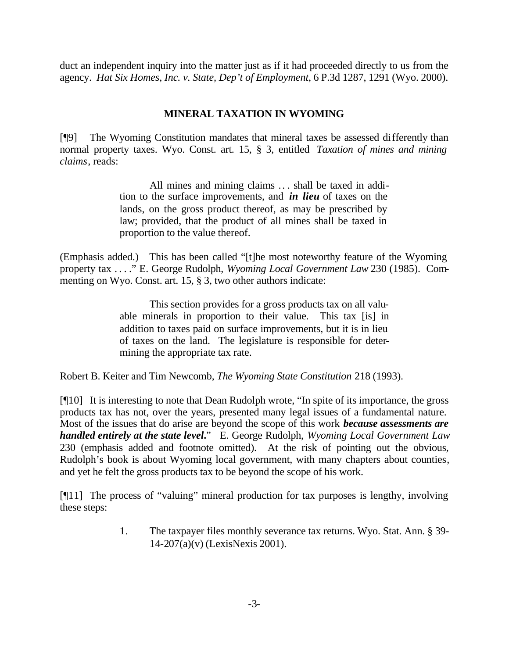duct an independent inquiry into the matter just as if it had proceeded directly to us from the agency. *Hat Six Homes, Inc. v. State, Dep't of Employment*, 6 P.3d 1287, 1291 (Wyo. 2000).

## **MINERAL TAXATION IN WYOMING**

[¶9] The Wyoming Constitution mandates that mineral taxes be assessed differently than normal property taxes. Wyo. Const. art. 15, § 3, entitled *Taxation of mines and mining claims*, reads:

> All mines and mining claims .. . shall be taxed in addition to the surface improvements, and *in lieu* of taxes on the lands, on the gross product thereof, as may be prescribed by law; provided, that the product of all mines shall be taxed in proportion to the value thereof.

(Emphasis added.) This has been called "[t]he most noteworthy feature of the Wyoming property tax . . . ." E. George Rudolph, *Wyoming Local Government Law* 230 (1985). Commenting on Wyo. Const. art. 15, § 3, two other authors indicate:

> This section provides for a gross products tax on all valuable minerals in proportion to their value. This tax [is] in addition to taxes paid on surface improvements, but it is in lieu of taxes on the land. The legislature is responsible for determining the appropriate tax rate.

Robert B. Keiter and Tim Newcomb, *The Wyoming State Constitution* 218 (1993).

[¶10] It is interesting to note that Dean Rudolph wrote, "In spite of its importance, the gross products tax has not, over the years, presented many legal issues of a fundamental nature. Most of the issues that do arise are beyond the scope of this work *because assessments are handled entirely at the state level***.**" E. George Rudolph, *Wyoming Local Government Law* 230 (emphasis added and footnote omitted). At the risk of pointing out the obvious, Rudolph's book is about Wyoming local government, with many chapters about counties, and yet he felt the gross products tax to be beyond the scope of his work.

[¶11] The process of "valuing" mineral production for tax purposes is lengthy, involving these steps:

> 1. The taxpayer files monthly severance tax returns. Wyo. Stat. Ann. § 39- 14-207(a)(v) (LexisNexis 2001).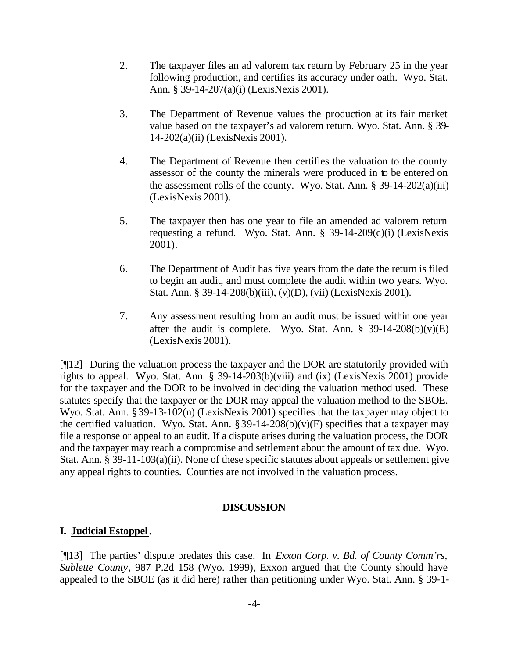- 2. The taxpayer files an ad valorem tax return by February 25 in the year following production, and certifies its accuracy under oath. Wyo. Stat. Ann. § 39-14-207(a)(i) (LexisNexis 2001).
- 3. The Department of Revenue values the production at its fair market value based on the taxpayer's ad valorem return. Wyo. Stat. Ann. § 39- 14-202(a)(ii) (LexisNexis 2001).
- 4. The Department of Revenue then certifies the valuation to the county assessor of the county the minerals were produced in to be entered on the assessment rolls of the county. Wyo. Stat. Ann.  $\S$  39-14-202(a)(iii) (LexisNexis 2001).
- 5. The taxpayer then has one year to file an amended ad valorem return requesting a refund. Wyo. Stat. Ann. § 39-14-209(c)(i) (LexisNexis 2001).
- 6. The Department of Audit has five years from the date the return is filed to begin an audit, and must complete the audit within two years. Wyo. Stat. Ann. § 39-14-208(b)(iii), (v)(D), (vii) (LexisNexis 2001).
- 7. Any assessment resulting from an audit must be issued within one year after the audit is complete. Wyo. Stat. Ann.  $\S$  39-14-208(b)(v)(E) (LexisNexis 2001).

[¶12] During the valuation process the taxpayer and the DOR are statutorily provided with rights to appeal. Wyo. Stat. Ann. § 39-14-203(b)(viii) and (ix) (LexisNexis 2001) provide for the taxpayer and the DOR to be involved in deciding the valuation method used. These statutes specify that the taxpayer or the DOR may appeal the valuation method to the SBOE. Wyo. Stat. Ann. §39-13-102(n) (LexisNexis 2001) specifies that the taxpayer may object to the certified valuation. Wyo. Stat. Ann.  $\S 39-14-208(b)(v)(F)$  specifies that a taxpayer may file a response or appeal to an audit. If a dispute arises during the valuation process, the DOR and the taxpayer may reach a compromise and settlement about the amount of tax due. Wyo. Stat. Ann. § 39-11-103(a)(ii). None of these specific statutes about appeals or settlement give any appeal rights to counties. Counties are not involved in the valuation process.

### **DISCUSSION**

### **I. Judicial Estoppel**.

[¶13] The parties' dispute predates this case. In *Exxon Corp. v. Bd. of County Comm'rs, Sublette County*, 987 P.2d 158 (Wyo. 1999), Exxon argued that the County should have appealed to the SBOE (as it did here) rather than petitioning under Wyo. Stat. Ann. § 39-1-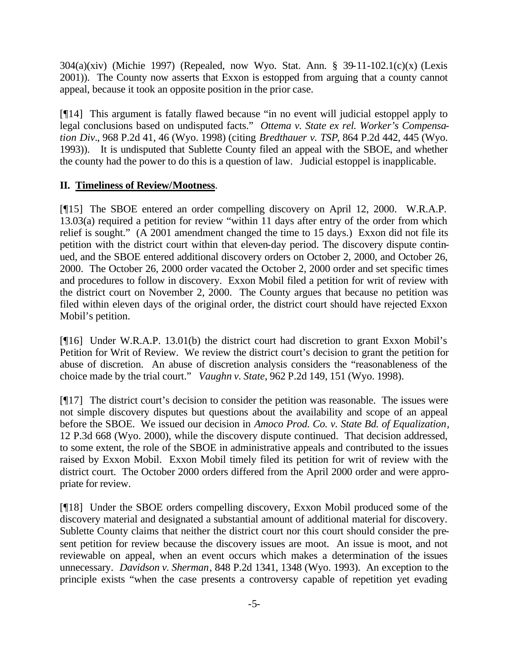304(a)(xiv) (Michie 1997) (Repealed, now Wyo. Stat. Ann. § 39-11-102.1(c)(x) (Lexis 2001)). The County now asserts that Exxon is estopped from arguing that a county cannot appeal, because it took an opposite position in the prior case.

[¶14] This argument is fatally flawed because "in no event will judicial estoppel apply to legal conclusions based on undisputed facts." *Ottema v. State ex rel. Worker's Compensation Div.*, 968 P.2d 41, 46 (Wyo. 1998) (citing *Bredthauer v. TSP*, 864 P.2d 442, 445 (Wyo. 1993)). It is undisputed that Sublette County filed an appeal with the SBOE, and whether the county had the power to do this is a question of law. Judicial estoppel is inapplicable.

# **II. Timeliness of Review/Mootness**.

[¶15] The SBOE entered an order compelling discovery on April 12, 2000. W.R.A.P. 13.03(a) required a petition for review "within 11 days after entry of the order from which relief is sought." (A 2001 amendment changed the time to 15 days.) Exxon did not file its petition with the district court within that eleven-day period. The discovery dispute continued, and the SBOE entered additional discovery orders on October 2, 2000, and October 26, 2000. The October 26, 2000 order vacated the October 2, 2000 order and set specific times and procedures to follow in discovery. Exxon Mobil filed a petition for writ of review with the district court on November 2, 2000. The County argues that because no petition was filed within eleven days of the original order, the district court should have rejected Exxon Mobil's petition.

[¶16] Under W.R.A.P. 13.01(b) the district court had discretion to grant Exxon Mobil's Petition for Writ of Review. We review the district court's decision to grant the petition for abuse of discretion. An abuse of discretion analysis considers the "reasonableness of the choice made by the trial court." *Vaughn v. State*, 962 P.2d 149, 151 (Wyo. 1998).

[¶17] The district court's decision to consider the petition was reasonable. The issues were not simple discovery disputes but questions about the availability and scope of an appeal before the SBOE. We issued our decision in *Amoco Prod. Co. v. State Bd. of Equalization*, 12 P.3d 668 (Wyo. 2000), while the discovery dispute continued. That decision addressed, to some extent, the role of the SBOE in administrative appeals and contributed to the issues raised by Exxon Mobil. Exxon Mobil timely filed its petition for writ of review with the district court. The October 2000 orders differed from the April 2000 order and were appropriate for review.

[¶18] Under the SBOE orders compelling discovery, Exxon Mobil produced some of the discovery material and designated a substantial amount of additional material for discovery. Sublette County claims that neither the district court nor this court should consider the present petition for review because the discovery issues are moot. An issue is moot, and not reviewable on appeal, when an event occurs which makes a determination of the issues unnecessary. *Davidson v. Sherman*, 848 P.2d 1341, 1348 (Wyo. 1993). An exception to the principle exists "when the case presents a controversy capable of repetition yet evading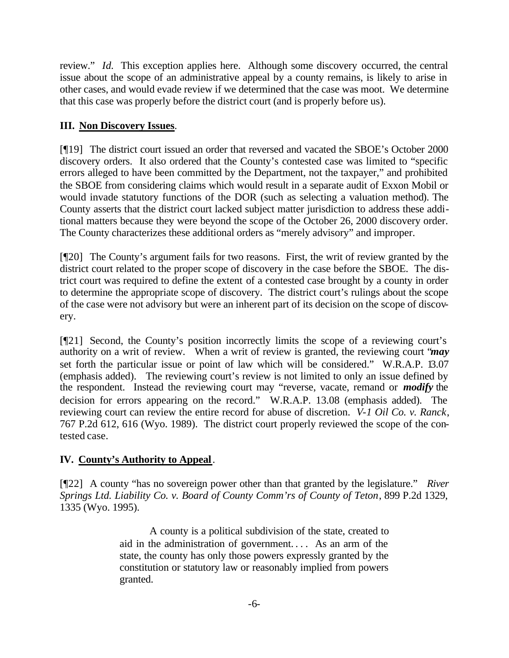review." *Id.* This exception applies here. Although some discovery occurred, the central issue about the scope of an administrative appeal by a county remains, is likely to arise in other cases, and would evade review if we determined that the case was moot. We determine that this case was properly before the district court (and is properly before us).

# **III. Non Discovery Issues**.

[¶19] The district court issued an order that reversed and vacated the SBOE's October 2000 discovery orders. It also ordered that the County's contested case was limited to "specific errors alleged to have been committed by the Department, not the taxpayer," and prohibited the SBOE from considering claims which would result in a separate audit of Exxon Mobil or would invade statutory functions of the DOR (such as selecting a valuation method). The County asserts that the district court lacked subject matter jurisdiction to address these additional matters because they were beyond the scope of the October 26, 2000 discovery order. The County characterizes these additional orders as "merely advisory" and improper.

[¶20] The County's argument fails for two reasons. First, the writ of review granted by the district court related to the proper scope of discovery in the case before the SBOE. The district court was required to define the extent of a contested case brought by a county in order to determine the appropriate scope of discovery. The district court's rulings about the scope of the case were not advisory but were an inherent part of its decision on the scope of discovery.

[¶21] Second, the County's position incorrectly limits the scope of a reviewing court's authority on a writ of review. When a writ of review is granted, the reviewing court "*may* set forth the particular issue or point of law which will be considered." W.R.A.P. 13.07 (emphasis added). The reviewing court's review is not limited to only an issue defined by the respondent. Instead the reviewing court may "reverse, vacate, remand or *modify* the decision for errors appearing on the record." W.R.A.P. 13.08 (emphasis added). The reviewing court can review the entire record for abuse of discretion. *V-1 Oil Co. v. Ranck*, 767 P.2d 612, 616 (Wyo. 1989). The district court properly reviewed the scope of the contested case.

# **IV. County's Authority to Appeal**.

[¶22] A county "has no sovereign power other than that granted by the legislature." *River Springs Ltd. Liability Co. v. Board of County Comm'rs of County of Teton*, 899 P.2d 1329, 1335 (Wyo. 1995).

> A county is a political subdivision of the state, created to aid in the administration of government. . . . As an arm of the state, the county has only those powers expressly granted by the constitution or statutory law or reasonably implied from powers granted.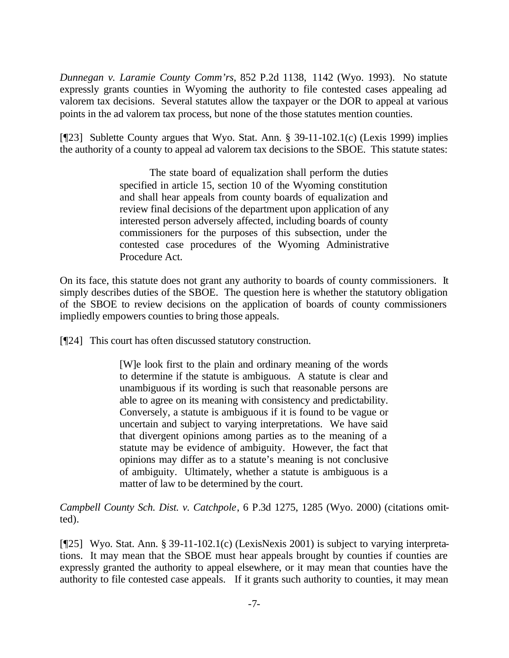*Dunnegan v. Laramie County Comm'rs*, 852 P.2d 1138, 1142 (Wyo. 1993). No statute expressly grants counties in Wyoming the authority to file contested cases appealing ad valorem tax decisions. Several statutes allow the taxpayer or the DOR to appeal at various points in the ad valorem tax process, but none of the those statutes mention counties.

[¶23] Sublette County argues that Wyo. Stat. Ann. § 39-11-102.1(c) (Lexis 1999) implies the authority of a county to appeal ad valorem tax decisions to the SBOE. This statute states:

> The state board of equalization shall perform the duties specified in article 15, section 10 of the Wyoming constitution and shall hear appeals from county boards of equalization and review final decisions of the department upon application of any interested person adversely affected, including boards of county commissioners for the purposes of this subsection, under the contested case procedures of the Wyoming Administrative Procedure Act.

On its face, this statute does not grant any authority to boards of county commissioners. It simply describes duties of the SBOE. The question here is whether the statutory obligation of the SBOE to review decisions on the application of boards of county commissioners impliedly empowers counties to bring those appeals.

[¶24] This court has often discussed statutory construction.

[W]e look first to the plain and ordinary meaning of the words to determine if the statute is ambiguous. A statute is clear and unambiguous if its wording is such that reasonable persons are able to agree on its meaning with consistency and predictability. Conversely, a statute is ambiguous if it is found to be vague or uncertain and subject to varying interpretations. We have said that divergent opinions among parties as to the meaning of a statute may be evidence of ambiguity. However, the fact that opinions may differ as to a statute's meaning is not conclusive of ambiguity. Ultimately, whether a statute is ambiguous is a matter of law to be determined by the court.

*Campbell County Sch. Dist. v. Catchpole*, 6 P.3d 1275, 1285 (Wyo. 2000) (citations omitted).

[¶25] Wyo. Stat. Ann. § 39-11-102.1(c) (LexisNexis 2001) is subject to varying interpretations. It may mean that the SBOE must hear appeals brought by counties if counties are expressly granted the authority to appeal elsewhere, or it may mean that counties have the authority to file contested case appeals. If it grants such authority to counties, it may mean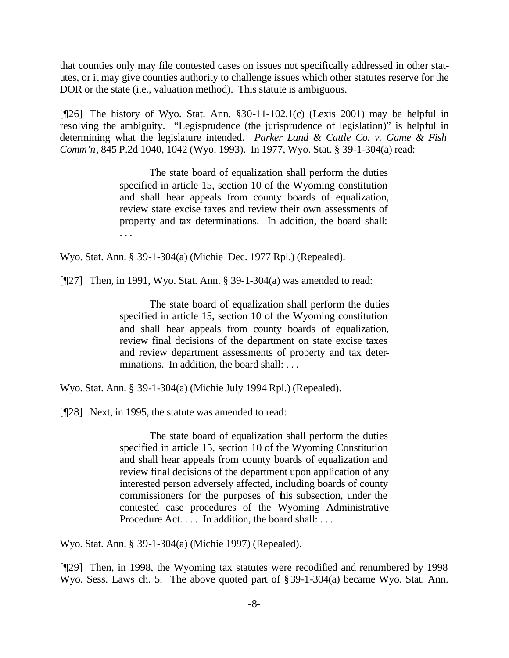that counties only may file contested cases on issues not specifically addressed in other statutes, or it may give counties authority to challenge issues which other statutes reserve for the DOR or the state (i.e., valuation method). This statute is ambiguous.

[ $[26]$ ] The history of Wyo. Stat. Ann.  $\S 30-11-102.1(c)$  (Lexis 2001) may be helpful in resolving the ambiguity. "Legisprudence (the jurisprudence of legislation)" is helpful in determining what the legislature intended. *Parker Land & Cattle Co. v. Game & Fish Comm'n*, 845 P.2d 1040, 1042 (Wyo. 1993). In 1977, Wyo. Stat. § 39-1-304(a) read:

> The state board of equalization shall perform the duties specified in article 15, section 10 of the Wyoming constitution and shall hear appeals from county boards of equalization, review state excise taxes and review their own assessments of property and tax determinations. In addition, the board shall: . . .

Wyo. Stat. Ann. § 39-1-304(a) (Michie Dec. 1977 Rpl.) (Repealed).

[¶27] Then, in 1991, Wyo. Stat. Ann. § 39-1-304(a) was amended to read:

The state board of equalization shall perform the duties specified in article 15, section 10 of the Wyoming constitution and shall hear appeals from county boards of equalization, review final decisions of the department on state excise taxes and review department assessments of property and tax determinations. In addition, the board shall: ...

Wyo. Stat. Ann. § 39-1-304(a) (Michie July 1994 Rpl.) (Repealed).

[¶28] Next, in 1995, the statute was amended to read:

The state board of equalization shall perform the duties specified in article 15, section 10 of the Wyoming Constitution and shall hear appeals from county boards of equalization and review final decisions of the department upon application of any interested person adversely affected, including boards of county commissioners for the purposes of this subsection, under the contested case procedures of the Wyoming Administrative Procedure Act. . . . In addition, the board shall: . . .

Wyo. Stat. Ann. § 39-1-304(a) (Michie 1997) (Repealed).

[¶29] Then, in 1998, the Wyoming tax statutes were recodified and renumbered by 1998 Wyo. Sess. Laws ch. 5. The above quoted part of §39-1-304(a) became Wyo. Stat. Ann.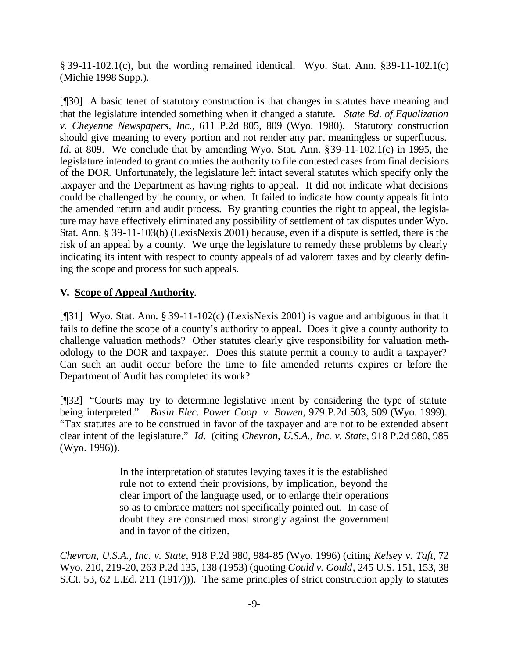§ 39-11-102.1(c), but the wording remained identical. Wyo. Stat. Ann. §39-11-102.1(c) (Michie 1998 Supp.).

[¶30] A basic tenet of statutory construction is that changes in statutes have meaning and that the legislature intended something when it changed a statute. *State Bd. of Equalization v. Cheyenne Newspapers, Inc.*, 611 P.2d 805, 809 (Wyo. 1980). Statutory construction should give meaning to every portion and not render any part meaningless or superfluous. *Id.* at 809. We conclude that by amending Wyo. Stat. Ann. §39-11-102.1(c) in 1995, the legislature intended to grant counties the authority to file contested cases from final decisions of the DOR. Unfortunately, the legislature left intact several statutes which specify only the taxpayer and the Department as having rights to appeal. It did not indicate what decisions could be challenged by the county, or when. It failed to indicate how county appeals fit into the amended return and audit process. By granting counties the right to appeal, the legislature may have effectively eliminated any possibility of settlement of tax disputes under Wyo. Stat. Ann. § 39-11-103(b) (LexisNexis 2001) because, even if a dispute is settled, there is the risk of an appeal by a county. We urge the legislature to remedy these problems by clearly indicating its intent with respect to county appeals of ad valorem taxes and by clearly defining the scope and process for such appeals.

## **V. Scope of Appeal Authority**.

[¶31] Wyo. Stat. Ann. § 39-11-102(c) (LexisNexis 2001) is vague and ambiguous in that it fails to define the scope of a county's authority to appeal. Does it give a county authority to challenge valuation methods? Other statutes clearly give responsibility for valuation methodology to the DOR and taxpayer. Does this statute permit a county to audit a taxpayer? Can such an audit occur before the time to file amended returns expires or before the Department of Audit has completed its work?

[¶32] "Courts may try to determine legislative intent by considering the type of statute being interpreted." *Basin Elec. Power Coop. v. Bowen*, 979 P.2d 503, 509 (Wyo. 1999). "Tax statutes are to be construed in favor of the taxpayer and are not to be extended absent clear intent of the legislature." *Id.* (citing *Chevron, U.S.A., Inc. v. State*, 918 P.2d 980, 985 (Wyo. 1996)).

> In the interpretation of statutes levying taxes it is the established rule not to extend their provisions, by implication, beyond the clear import of the language used, or to enlarge their operations so as to embrace matters not specifically pointed out. In case of doubt they are construed most strongly against the government and in favor of the citizen.

*Chevron, U.S.A., Inc. v. State*, 918 P.2d 980, 984-85 (Wyo. 1996) (citing *Kelsey v. Taft*, 72 Wyo. 210, 219-20, 263 P.2d 135, 138 (1953) (quoting *Gould v. Gould*, 245 U.S. 151, 153, 38 S.Ct. 53, 62 L.Ed. 211 (1917))). The same principles of strict construction apply to statutes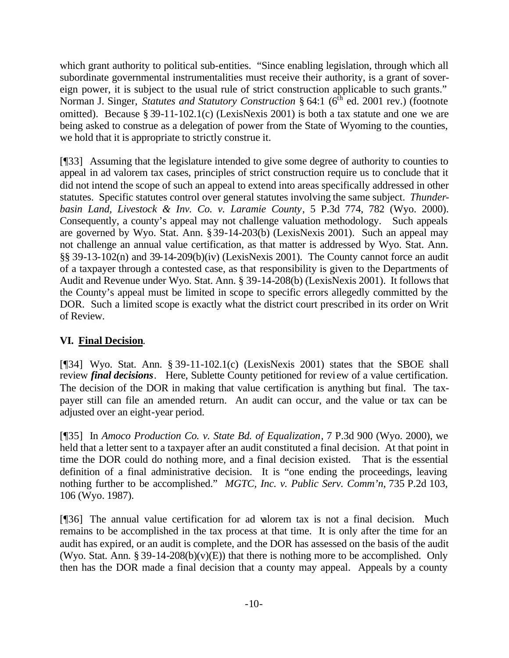which grant authority to political sub-entities. "Since enabling legislation, through which all subordinate governmental instrumentalities must receive their authority, is a grant of sovereign power, it is subject to the usual rule of strict construction applicable to such grants." Norman J. Singer, *Statutes and Statutory Construction* § 64:1 (6<sup>th</sup> ed. 2001 rev.) (footnote omitted). Because § 39-11-102.1(c) (LexisNexis 2001) is both a tax statute and one we are being asked to construe as a delegation of power from the State of Wyoming to the counties, we hold that it is appropriate to strictly construe it.

[¶33] Assuming that the legislature intended to give some degree of authority to counties to appeal in ad valorem tax cases, principles of strict construction require us to conclude that it did not intend the scope of such an appeal to extend into areas specifically addressed in other statutes. Specific statutes control over general statutes involving the same subject. *Thunderbasin Land, Livestock & Inv. Co. v. Laramie County*, 5 P.3d 774, 782 (Wyo. 2000). Consequently, a county's appeal may not challenge valuation methodology. Such appeals are governed by Wyo. Stat. Ann. §39-14-203(b) (LexisNexis 2001). Such an appeal may not challenge an annual value certification, as that matter is addressed by Wyo. Stat. Ann. §§ 39-13-102(n) and 39-14-209(b)(iv) (LexisNexis 2001). The County cannot force an audit of a taxpayer through a contested case, as that responsibility is given to the Departments of Audit and Revenue under Wyo. Stat. Ann. § 39-14-208(b) (LexisNexis 2001). It follows that the County's appeal must be limited in scope to specific errors allegedly committed by the DOR. Such a limited scope is exactly what the district court prescribed in its order on Writ of Review.

# **VI. Final Decision**.

[¶34] Wyo. Stat. Ann. § 39-11-102.1(c) (LexisNexis 2001) states that the SBOE shall review *final decisions*. Here, Sublette County petitioned for review of a value certification. The decision of the DOR in making that value certification is anything but final. The taxpayer still can file an amended return. An audit can occur, and the value or tax can be adjusted over an eight-year period.

[¶35] In *Amoco Production Co. v. State Bd. of Equalization*, 7 P.3d 900 (Wyo. 2000), we held that a letter sent to a taxpayer after an audit constituted a final decision. At that point in time the DOR could do nothing more, and a final decision existed. That is the essential definition of a final administrative decision. It is "one ending the proceedings, leaving nothing further to be accomplished." *MGTC, Inc. v. Public Serv. Comm'n*, 735 P.2d 103, 106 (Wyo. 1987).

[¶36] The annual value certification for ad valorem tax is not a final decision. Much remains to be accomplished in the tax process at that time. It is only after the time for an audit has expired, or an audit is complete, and the DOR has assessed on the basis of the audit (Wyo. Stat. Ann. § 39-14-208(b)(v)(E)) that there is nothing more to be accomplished. Only then has the DOR made a final decision that a county may appeal. Appeals by a county